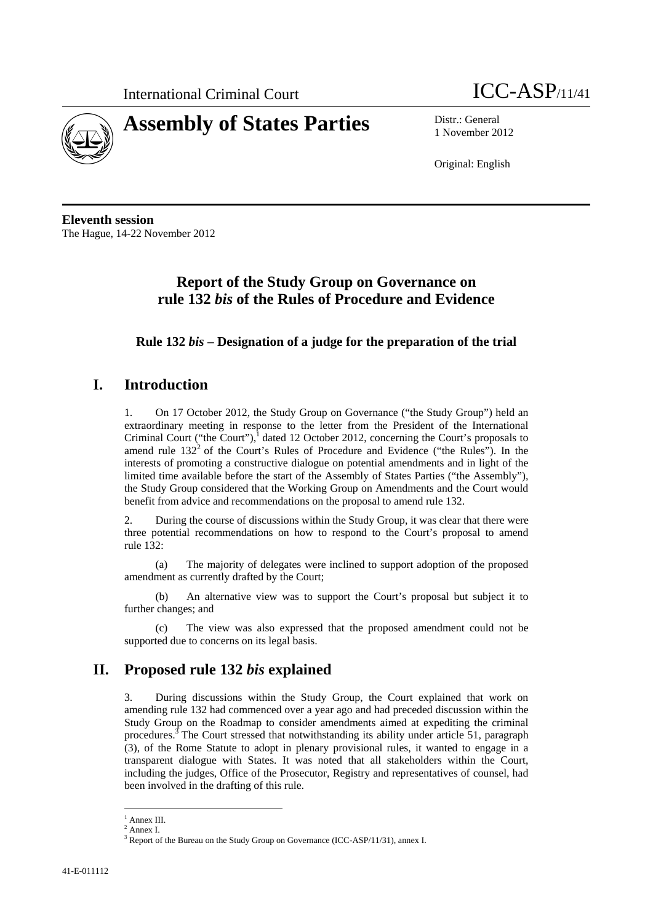



1 November 2012

Original: English

**Eleventh session**  The Hague, 14-22 November 2012

# **Report of the Study Group on Governance on rule 132** *bis* **of the Rules of Procedure and Evidence**

**Rule 132** *bis* **– Designation of a judge for the preparation of the trial** 

## **I. Introduction**

1. On 17 October 2012, the Study Group on Governance ("the Study Group") held an extraordinary meeting in response to the letter from the President of the International Criminal Court ("the Court"), $^1$  dated 12 October 2012, concerning the Court's proposals to amend rule  $132<sup>2</sup>$  of the Court's Rules of Procedure and Evidence ("the Rules"). In the interests of promoting a constructive dialogue on potential amendments and in light of the limited time available before the start of the Assembly of States Parties ("the Assembly"), the Study Group considered that the Working Group on Amendments and the Court would benefit from advice and recommendations on the proposal to amend rule 132.

2. During the course of discussions within the Study Group, it was clear that there were three potential recommendations on how to respond to the Court's proposal to amend rule 132:

(a) The majority of delegates were inclined to support adoption of the proposed amendment as currently drafted by the Court;

(b) An alternative view was to support the Court's proposal but subject it to further changes; and

(c) The view was also expressed that the proposed amendment could not be supported due to concerns on its legal basis.

## **II. Proposed rule 132** *bis* **explained**

3. During discussions within the Study Group, the Court explained that work on amending rule 132 had commenced over a year ago and had preceded discussion within the Study Group on the Roadmap to consider amendments aimed at expediting the criminal procedures.<sup>3</sup> The Court stressed that notwithstanding its ability under article 51, paragraph (3), of the Rome Statute to adopt in plenary provisional rules, it wanted to engage in a transparent dialogue with States. It was noted that all stakeholders within the Court, including the judges, Office of the Prosecutor, Registry and representatives of counsel, had been involved in the drafting of this rule.

 $\overline{a}$ <sup>1</sup> Annex III.

<sup>2</sup> Annex I.

<sup>&</sup>lt;sup>3</sup> Report of the Bureau on the Study Group on Governance (ICC-ASP/11/31), annex I.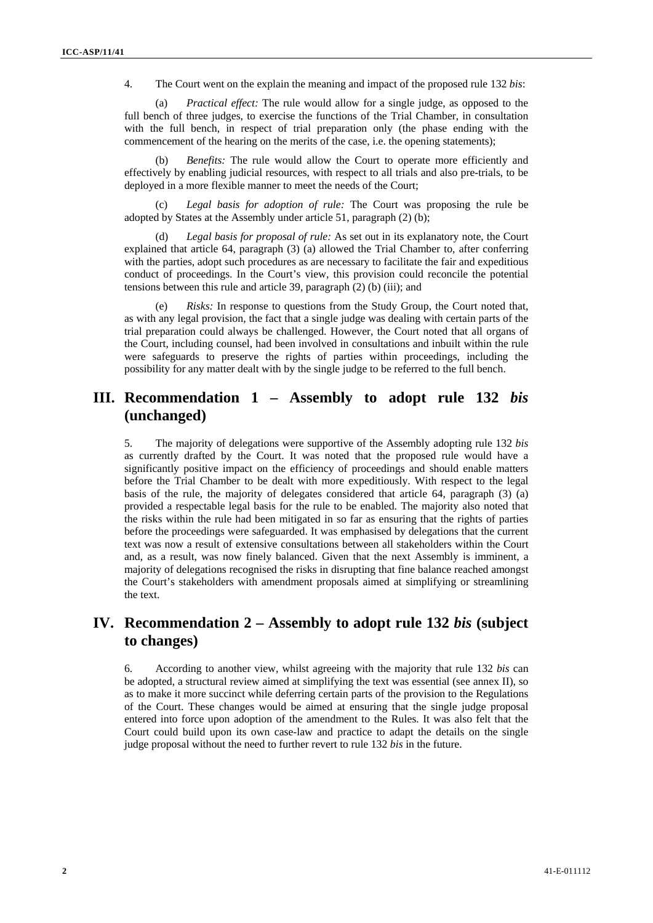4. The Court went on the explain the meaning and impact of the proposed rule 132 *bis*:

(a) *Practical effect:* The rule would allow for a single judge, as opposed to the full bench of three judges, to exercise the functions of the Trial Chamber, in consultation with the full bench, in respect of trial preparation only (the phase ending with the commencement of the hearing on the merits of the case, i.e. the opening statements);

(b) *Benefits:* The rule would allow the Court to operate more efficiently and effectively by enabling judicial resources, with respect to all trials and also pre-trials, to be deployed in a more flexible manner to meet the needs of the Court;

Legal basis for adoption of rule: The Court was proposing the rule be adopted by States at the Assembly under article 51, paragraph (2) (b);

Legal basis for proposal of rule: As set out in its explanatory note, the Court explained that article 64, paragraph (3) (a) allowed the Trial Chamber to, after conferring with the parties, adopt such procedures as are necessary to facilitate the fair and expeditious conduct of proceedings. In the Court's view, this provision could reconcile the potential tensions between this rule and article 39, paragraph (2) (b) (iii); and

(e) *Risks:* In response to questions from the Study Group, the Court noted that, as with any legal provision, the fact that a single judge was dealing with certain parts of the trial preparation could always be challenged. However, the Court noted that all organs of the Court, including counsel, had been involved in consultations and inbuilt within the rule were safeguards to preserve the rights of parties within proceedings, including the possibility for any matter dealt with by the single judge to be referred to the full bench.

## **III. Recommendation 1 – Assembly to adopt rule 132** *bis* **(unchanged)**

5. The majority of delegations were supportive of the Assembly adopting rule 132 *bis* as currently drafted by the Court. It was noted that the proposed rule would have a significantly positive impact on the efficiency of proceedings and should enable matters before the Trial Chamber to be dealt with more expeditiously. With respect to the legal basis of the rule, the majority of delegates considered that article 64, paragraph (3) (a) provided a respectable legal basis for the rule to be enabled. The majority also noted that the risks within the rule had been mitigated in so far as ensuring that the rights of parties before the proceedings were safeguarded. It was emphasised by delegations that the current text was now a result of extensive consultations between all stakeholders within the Court and, as a result, was now finely balanced. Given that the next Assembly is imminent, a majority of delegations recognised the risks in disrupting that fine balance reached amongst the Court's stakeholders with amendment proposals aimed at simplifying or streamlining the text.

## **IV. Recommendation 2 – Assembly to adopt rule 132** *bis* **(subject to changes)**

6. According to another view, whilst agreeing with the majority that rule 132 *bis* can be adopted, a structural review aimed at simplifying the text was essential (see annex II), so as to make it more succinct while deferring certain parts of the provision to the Regulations of the Court. These changes would be aimed at ensuring that the single judge proposal entered into force upon adoption of the amendment to the Rules. It was also felt that the Court could build upon its own case-law and practice to adapt the details on the single judge proposal without the need to further revert to rule 132 *bis* in the future.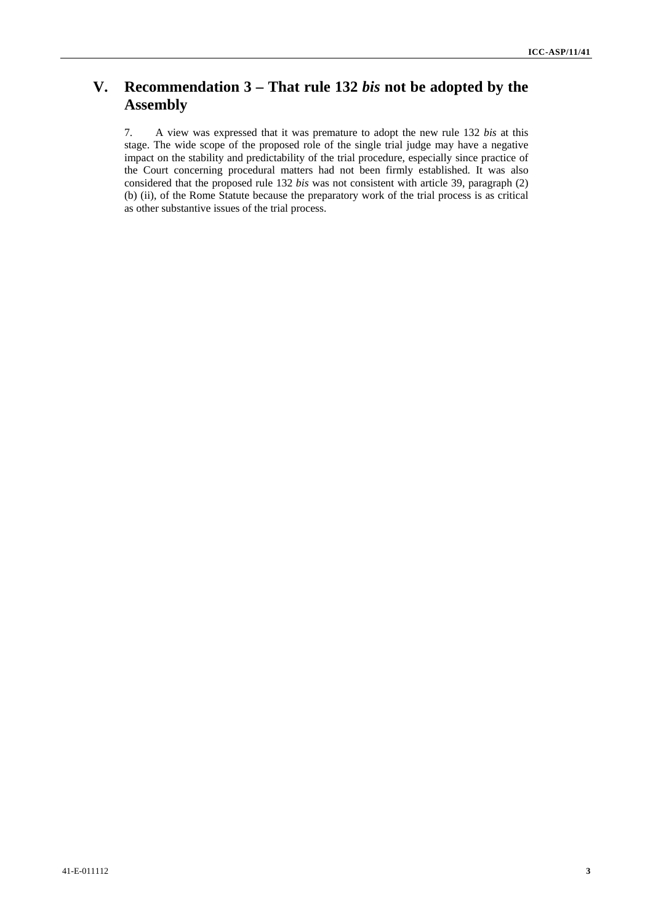# **V. Recommendation 3 – That rule 132** *bis* **not be adopted by the Assembly**

7. A view was expressed that it was premature to adopt the new rule 132 *bis* at this stage. The wide scope of the proposed role of the single trial judge may have a negative impact on the stability and predictability of the trial procedure, especially since practice of the Court concerning procedural matters had not been firmly established. It was also considered that the proposed rule 132 *bis* was not consistent with article 39, paragraph (2) (b) (ii), of the Rome Statute because the preparatory work of the trial process is as critical as other substantive issues of the trial process.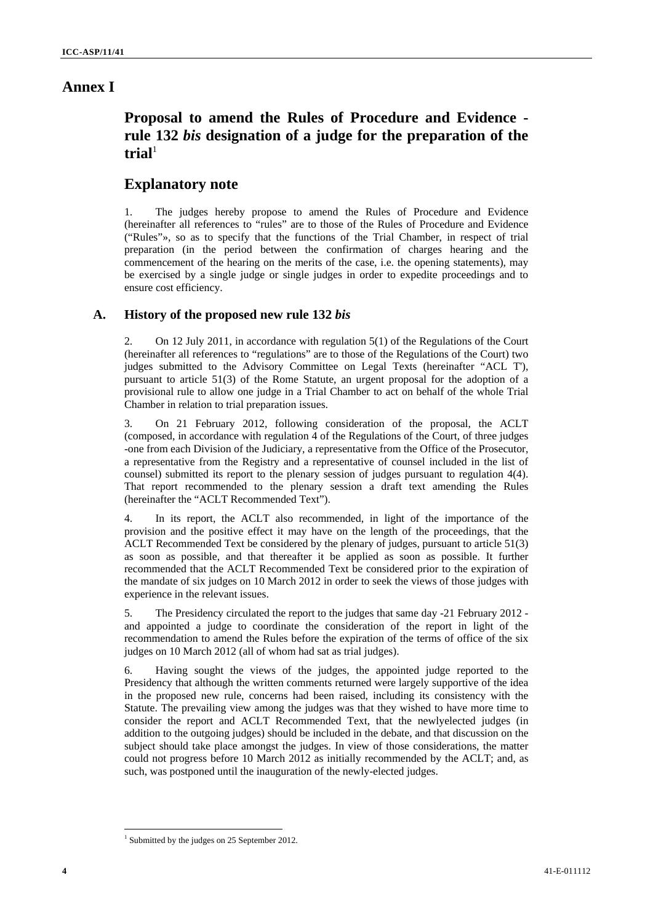## **Annex I**

# **Proposal to amend the Rules of Procedure and Evidence rule 132** *bis* **designation of a judge for the preparation of the trial**<sup>1</sup>

## **Explanatory note**

1. The judges hereby propose to amend the Rules of Procedure and Evidence (hereinafter all references to "rules" are to those of the Rules of Procedure and Evidence ("Rules"», so as to specify that the functions of the Trial Chamber, in respect of trial preparation (in the period between the confirmation of charges hearing and the commencement of the hearing on the merits of the case, i.e. the opening statements), may be exercised by a single judge or single judges in order to expedite proceedings and to ensure cost efficiency.

### **A. History of the proposed new rule 132** *bis*

2. On 12 July 2011, in accordance with regulation 5(1) of the Regulations of the Court (hereinafter all references to "regulations" are to those of the Regulations of the Court) two judges submitted to the Advisory Committee on Legal Texts (hereinafter "ACL T'), pursuant to article 51(3) of the Rome Statute, an urgent proposal for the adoption of a provisional rule to allow one judge in a Trial Chamber to act on behalf of the whole Trial Chamber in relation to trial preparation issues.

3. On 21 February 2012, following consideration of the proposal, the ACLT (composed, in accordance with regulation 4 of the Regulations of the Court, of three judges -one from each Division of the Judiciary, a representative from the Office of the Prosecutor, a representative from the Registry and a representative of counsel included in the list of counsel) submitted its report to the plenary session of judges pursuant to regulation 4(4). That report recommended to the plenary session a draft text amending the Rules (hereinafter the "ACLT Recommended Text").

4. In its report, the ACLT also recommended, in light of the importance of the provision and the positive effect it may have on the length of the proceedings, that the ACLT Recommended Text be considered by the plenary of judges, pursuant to article 51(3) as soon as possible, and that thereafter it be applied as soon as possible. It further recommended that the ACLT Recommended Text be considered prior to the expiration of the mandate of six judges on 10 March 2012 in order to seek the views of those judges with experience in the relevant issues.

5. The Presidency circulated the report to the judges that same day -21 February 2012 and appointed a judge to coordinate the consideration of the report in light of the recommendation to amend the Rules before the expiration of the terms of office of the six judges on 10 March 2012 (all of whom had sat as trial judges).

6. Having sought the views of the judges, the appointed judge reported to the Presidency that although the written comments returned were largely supportive of the idea in the proposed new rule, concerns had been raised, including its consistency with the Statute. The prevailing view among the judges was that they wished to have more time to consider the report and ACLT Recommended Text, that the newlyelected judges (in addition to the outgoing judges) should be included in the debate, and that discussion on the subject should take place amongst the judges. In view of those considerations, the matter could not progress before 10 March 2012 as initially recommended by the ACLT; and, as such, was postponed until the inauguration of the newly-elected judges.

<sup>&</sup>lt;sup>1</sup> Submitted by the judges on 25 September 2012.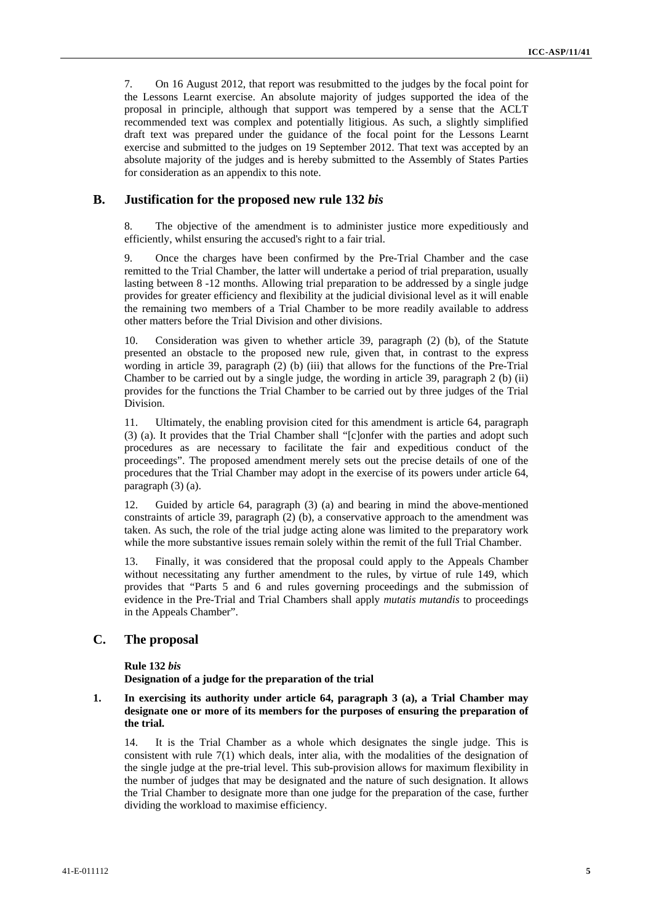7. On 16 August 2012, that report was resubmitted to the judges by the focal point for the Lessons Learnt exercise. An absolute majority of judges supported the idea of the proposal in principle, although that support was tempered by a sense that the ACLT recommended text was complex and potentially litigious. As such, a slightly simplified draft text was prepared under the guidance of the focal point for the Lessons Learnt exercise and submitted to the judges on 19 September 2012. That text was accepted by an absolute majority of the judges and is hereby submitted to the Assembly of States Parties for consideration as an appendix to this note.

### **B. Justification for the proposed new rule 132** *bis*

8. The objective of the amendment is to administer justice more expeditiously and efficiently, whilst ensuring the accused's right to a fair trial.

9. Once the charges have been confirmed by the Pre-Trial Chamber and the case remitted to the Trial Chamber, the latter will undertake a period of trial preparation, usually lasting between 8 -12 months. Allowing trial preparation to be addressed by a single judge provides for greater efficiency and flexibility at the judicial divisional level as it will enable the remaining two members of a Trial Chamber to be more readily available to address other matters before the Trial Division and other divisions.

10. Consideration was given to whether article 39, paragraph (2) (b), of the Statute presented an obstacle to the proposed new rule, given that, in contrast to the express wording in article 39, paragraph  $(2)$  (b) (iii) that allows for the functions of the Pre-Trial Chamber to be carried out by a single judge, the wording in article 39, paragraph 2 (b) (ii) provides for the functions the Trial Chamber to be carried out by three judges of the Trial Division.

11. Ultimately, the enabling provision cited for this amendment is article 64, paragraph (3) (a). It provides that the Trial Chamber shall "[c]onfer with the parties and adopt such procedures as are necessary to facilitate the fair and expeditious conduct of the proceedings". The proposed amendment merely sets out the precise details of one of the procedures that the Trial Chamber may adopt in the exercise of its powers under article 64, paragraph (3) (a).

12. Guided by article 64, paragraph (3) (a) and bearing in mind the above-mentioned constraints of article 39, paragraph (2) (b), a conservative approach to the amendment was taken. As such, the role of the trial judge acting alone was limited to the preparatory work while the more substantive issues remain solely within the remit of the full Trial Chamber.

13. Finally, it was considered that the proposal could apply to the Appeals Chamber without necessitating any further amendment to the rules, by virtue of rule 149, which provides that "Parts 5 and 6 and rules governing proceedings and the submission of evidence in the Pre-Trial and Trial Chambers shall apply *mutatis mutandis* to proceedings in the Appeals Chamber".

### **C. The proposal**

#### **Rule 132** *bis*

**Designation of a judge for the preparation of the trial** 

#### **1. In exercising its authority under article 64, paragraph 3 (a), a Trial Chamber may designate one or more of its members for the purposes of ensuring the preparation of the trial.**

14. It is the Trial Chamber as a whole which designates the single judge. This is consistent with rule  $7(1)$  which deals, inter alia, with the modalities of the designation of the single judge at the pre-trial level. This sub-provision allows for maximum flexibility in the number of judges that may be designated and the nature of such designation. It allows the Trial Chamber to designate more than one judge for the preparation of the case, further dividing the workload to maximise efficiency.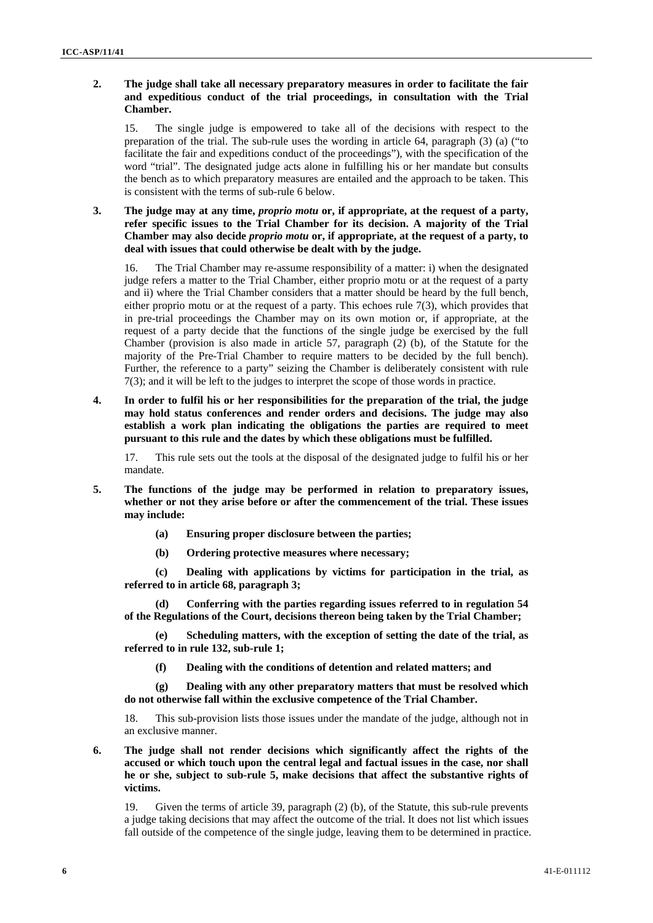#### **2. The judge shall take all necessary preparatory measures in order to facilitate the fair and expeditious conduct of the trial proceedings, in consultation with the Trial Chamber.**

15. The single judge is empowered to take all of the decisions with respect to the preparation of the trial. The sub-rule uses the wording in article  $64$ , paragraph  $(3)$  (a) ("to facilitate the fair and expeditions conduct of the proceedings"), with the specification of the word "trial". The designated judge acts alone in fulfilling his or her mandate but consults the bench as to which preparatory measures are entailed and the approach to be taken. This is consistent with the terms of sub-rule 6 below.

### **3. The judge may at any time,** *proprio motu* **or, if appropriate, at the request of a party, refer specific issues to the Trial Chamber for its decision. A majority of the Trial Chamber may also decide** *proprio motu* **or, if appropriate, at the request of a party, to deal with issues that could otherwise be dealt with by the judge.**

16. The Trial Chamber may re-assume responsibility of a matter: i) when the designated judge refers a matter to the Trial Chamber, either proprio motu or at the request of a party and ii) where the Trial Chamber considers that a matter should be heard by the full bench, either proprio motu or at the request of a party. This echoes rule 7(3), which provides that in pre-trial proceedings the Chamber may on its own motion or, if appropriate, at the request of a party decide that the functions of the single judge be exercised by the full Chamber (provision is also made in article 57, paragraph  $(2)$  (b), of the Statute for the majority of the Pre-Trial Chamber to require matters to be decided by the full bench). Further, the reference to a party" seizing the Chamber is deliberately consistent with rule 7(3); and it will be left to the judges to interpret the scope of those words in practice.

**4. In order to fulfil his or her responsibilities for the preparation of the trial, the judge may hold status conferences and render orders and decisions. The judge may also establish a work plan indicating the obligations the parties are required to meet pursuant to this rule and the dates by which these obligations must be fulfilled.** 

17. This rule sets out the tools at the disposal of the designated judge to fulfil his or her mandate.

- **5. The functions of the judge may be performed in relation to preparatory issues, whether or not they arise before or after the commencement of the trial. These issues may include:** 
	- **(a) Ensuring proper disclosure between the parties;**
	- **(b) Ordering protective measures where necessary;**

**(c) Dealing with applications by victims for participation in the trial, as referred to in article 68, paragraph 3;** 

**(d) Conferring with the parties regarding issues referred to in regulation 54 of the Regulations of the Court, decisions thereon being taken by the Trial Chamber;** 

**(e) Scheduling matters, with the exception of setting the date of the trial, as referred to in rule 132, sub-rule 1;** 

**(f) Dealing with the conditions of detention and related matters; and** 

**(g) Dealing with any other preparatory matters that must be resolved which do not otherwise fall within the exclusive competence of the Trial Chamber.** 

18. This sub-provision lists those issues under the mandate of the judge, although not in an exclusive manner.

**6. The judge shall not render decisions which significantly affect the rights of the accused or which touch upon the central legal and factual issues in the case, nor shall he or she, subject to sub-rule 5, make decisions that affect the substantive rights of victims.** 

19. Given the terms of article 39, paragraph (2) (b), of the Statute, this sub-rule prevents a judge taking decisions that may affect the outcome of the trial. It does not list which issues fall outside of the competence of the single judge, leaving them to be determined in practice.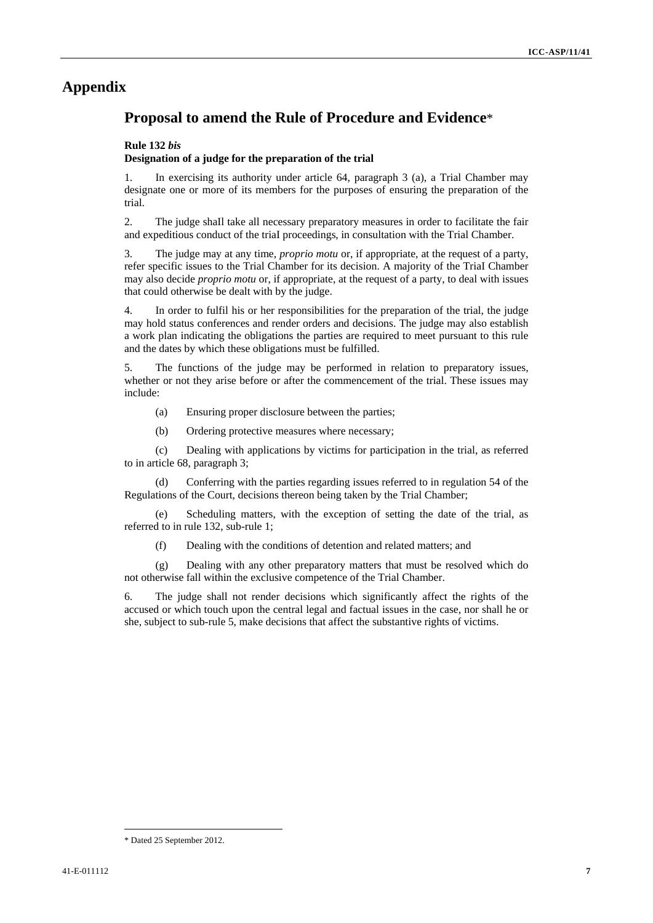## **Appendix**

## **Proposal to amend the Rule of Procedure and Evidence**\*

#### **Rule 132** *bis*

#### **Designation of a judge for the preparation of the trial**

1. In exercising its authority under article 64, paragraph 3 (a), a Trial Chamber may designate one or more of its members for the purposes of ensuring the preparation of the trial.

2. The judge shaIl take all necessary preparatory measures in order to facilitate the fair and expeditious conduct of the triaI proceedings, in consultation with the Trial Chamber.

3. The judge may at any time, *proprio motu* or, if appropriate, at the request of a party, refer specific issues to the Trial Chamber for its decision. A majority of the TriaI Chamber may also decide *proprio motu* or, if appropriate, at the request of a party, to deal with issues that could otherwise be dealt with by the judge.

4. In order to fulfil his or her responsibilities for the preparation of the trial, the judge may hold status conferences and render orders and decisions. The judge may also establish a work plan indicating the obligations the parties are required to meet pursuant to this rule and the dates by which these obligations must be fulfilled.

5. The functions of the judge may be performed in relation to preparatory issues, whether or not they arise before or after the commencement of the trial. These issues may include:

- (a) Ensuring proper disclosure between the parties;
- (b) Ordering protective measures where necessary;

(c) Dealing with applications by victims for participation in the trial, as referred to in article 68, paragraph 3;

(d) Conferring with the parties regarding issues referred to in regulation 54 of the Regulations of the Court, decisions thereon being taken by the Trial Chamber;

(e) Scheduling matters, with the exception of setting the date of the trial, as referred to in rule 132, sub-rule 1;

(f) Dealing with the conditions of detention and related matters; and

(g) Dealing with any other preparatory matters that must be resolved which do not otherwise fall within the exclusive competence of the Trial Chamber.

6. The judge shall not render decisions which significantly affect the rights of the accused or which touch upon the central legal and factual issues in the case, nor shall he or she, subject to sub-rule 5, make decisions that affect the substantive rights of victims.

<sup>\*</sup> Dated 25 September 2012.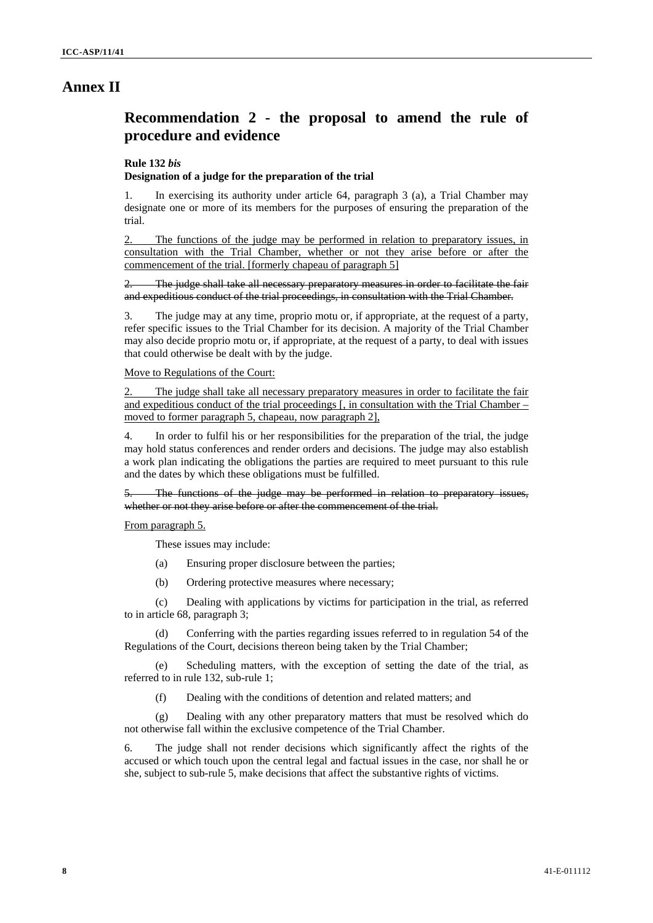## **Annex II**

# **Recommendation 2 - the proposal to amend the rule of procedure and evidence**

#### **Rule 132** *bis*

#### **Designation of a judge for the preparation of the trial**

1. In exercising its authority under article 64, paragraph 3 (a), a Trial Chamber may designate one or more of its members for the purposes of ensuring the preparation of the trial.

2. The functions of the judge may be performed in relation to preparatory issues, in consultation with the Trial Chamber, whether or not they arise before or after the commencement of the trial. [formerly chapeau of paragraph 5]

The judge shall take all necessary preparatory measures in order to facilitate the fair and expeditious conduct of the trial proceedings, in consultation with the Trial Chamber.

3. The judge may at any time, proprio motu or, if appropriate, at the request of a party, refer specific issues to the Trial Chamber for its decision. A majority of the Trial Chamber may also decide proprio motu or, if appropriate, at the request of a party, to deal with issues that could otherwise be dealt with by the judge.

Move to Regulations of the Court:

2. The judge shall take all necessary preparatory measures in order to facilitate the fair and expeditious conduct of the trial proceedings [, in consultation with the Trial Chamber – moved to former paragraph 5, chapeau, now paragraph 2],

4. In order to fulfil his or her responsibilities for the preparation of the trial, the judge may hold status conferences and render orders and decisions. The judge may also establish a work plan indicating the obligations the parties are required to meet pursuant to this rule and the dates by which these obligations must be fulfilled.

5. The functions of the judge may be performed in relation to preparatory issues, whether or not they arise before or after the commencement of the trial.

From paragraph 5.

These issues may include:

- (a) Ensuring proper disclosure between the parties;
- (b) Ordering protective measures where necessary;

(c) Dealing with applications by victims for participation in the trial, as referred to in article 68, paragraph 3;

Conferring with the parties regarding issues referred to in regulation 54 of the Regulations of the Court, decisions thereon being taken by the Trial Chamber;

(e) Scheduling matters, with the exception of setting the date of the trial, as referred to in rule 132, sub-rule 1;

(f) Dealing with the conditions of detention and related matters; and

(g) Dealing with any other preparatory matters that must be resolved which do not otherwise fall within the exclusive competence of the Trial Chamber.

6. The judge shall not render decisions which significantly affect the rights of the accused or which touch upon the central legal and factual issues in the case, nor shall he or she, subject to sub-rule 5, make decisions that affect the substantive rights of victims.